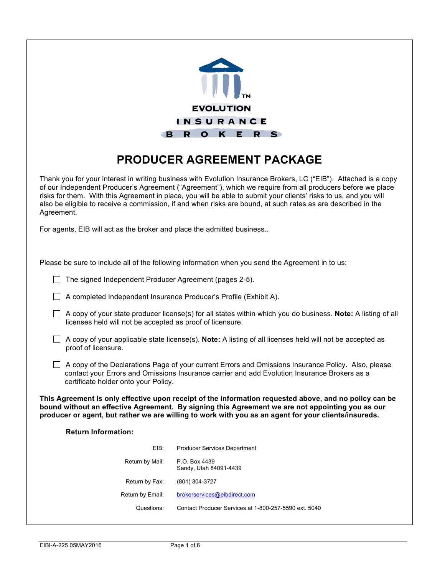

# **PRODUCER AGREEMENT PACKAGE**

Thank you for your interest in writing business with Evolution Insurance Brokers, LC ("EIB"). Attached is a copy of our Independent Producer's Agreement ("Agreement"), which we require from all producers before we place risks for them. With this Agreement in place, you will be able to submit your clients' risks to us, and you will also be eligible to receive a commission, if and when risks are bound, at such rates as are described in the Agreement.

For agents, EIB will act as the broker and place the admitted business..

| Please be sure to include all of the following information when you send the Agreement in to us:                                                                                                                                                                                                                   |                                                                   |  |  |  |
|--------------------------------------------------------------------------------------------------------------------------------------------------------------------------------------------------------------------------------------------------------------------------------------------------------------------|-------------------------------------------------------------------|--|--|--|
| The signed Independent Producer Agreement (pages 2-5).                                                                                                                                                                                                                                                             |                                                                   |  |  |  |
|                                                                                                                                                                                                                                                                                                                    | A completed Independent Insurance Producer's Profile (Exhibit A). |  |  |  |
| A copy of your state producer license(s) for all states within which you do business. Note: A listing of all<br>licenses held will not be accepted as proof of licensure.                                                                                                                                          |                                                                   |  |  |  |
| A copy of your applicable state license(s). Note: A listing of all licenses held will not be accepted as<br>proof of licensure.                                                                                                                                                                                    |                                                                   |  |  |  |
| A copy of the Declarations Page of your current Errors and Omissions Insurance Policy. Also, please<br>contact your Errors and Omissions Insurance carrier and add Evolution Insurance Brokers as a<br>certificate holder onto your Policy.                                                                        |                                                                   |  |  |  |
| This Agreement is only effective upon receipt of the information requested above, and no policy can be<br>bound without an effective Agreement. By signing this Agreement we are not appointing you as our<br>producer or agent, but rather we are willing to work with you as an agent for your clients/insureds. |                                                                   |  |  |  |
| <b>Return Information:</b>                                                                                                                                                                                                                                                                                         |                                                                   |  |  |  |
| EIB:                                                                                                                                                                                                                                                                                                               | <b>Producer Services Department</b>                               |  |  |  |
| Return by Mail:                                                                                                                                                                                                                                                                                                    | P.O. Box 4439<br>Sandy, Utah 84091-4439                           |  |  |  |
| Return by Fax:                                                                                                                                                                                                                                                                                                     | (801) 304-3727                                                    |  |  |  |
| Return by Email:                                                                                                                                                                                                                                                                                                   | brokerservices@eibdirect.com                                      |  |  |  |
| Questions:                                                                                                                                                                                                                                                                                                         | Contact Producer Services at 1-800-257-5590 ext. 5040             |  |  |  |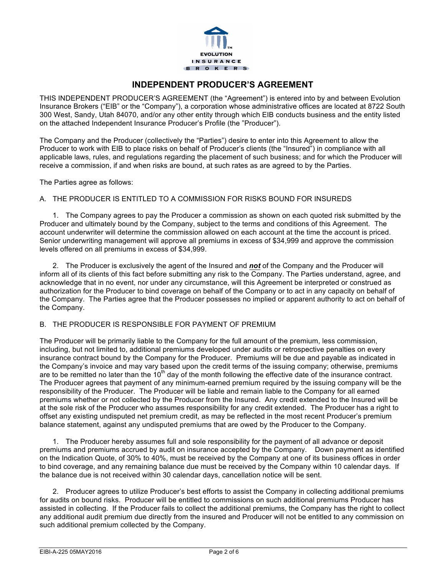

## **INDEPENDENT PRODUCER'S AGREEMENT**

THIS INDEPENDENT PRODUCER'S AGREEMENT (the "Agreement") is entered into by and between Evolution Insurance Brokers ("EIB" or the "Company"), a corporation whose administrative offices are located at 8722 South 300 West, Sandy, Utah 84070, and/or any other entity through which EIB conducts business and the entity listed on the attached Independent Insurance Producer's Profile (the "Producer").

The Company and the Producer (collectively the "Parties") desire to enter into this Agreement to allow the Producer to work with EIB to place risks on behalf of Producer's clients (the "Insured") in compliance with all applicable laws, rules, and regulations regarding the placement of such business; and for which the Producer will receive a commission, if and when risks are bound, at such rates as are agreed to by the Parties.

The Parties agree as follows:

#### A. THE PRODUCER IS ENTITLED TO A COMMISSION FOR RISKS BOUND FOR INSUREDS

1. The Company agrees to pay the Producer a commission as shown on each quoted risk submitted by the Producer and ultimately bound by the Company, subject to the terms and conditions of this Agreement. The account underwriter will determine the commission allowed on each account at the time the account is priced. Senior underwriting management will approve all premiums in excess of \$34,999 and approve the commission levels offered on all premiums in excess of \$34,999.

2. The Producer is exclusively the agent of the Insured and *not* of the Company and the Producer will inform all of its clients of this fact before submitting any risk to the Company. The Parties understand, agree, and acknowledge that in no event, nor under any circumstance, will this Agreement be interpreted or construed as authorization for the Producer to bind coverage on behalf of the Company or to act in any capacity on behalf of the Company. The Parties agree that the Producer possesses no implied or apparent authority to act on behalf of the Company.

#### B. THE PRODUCER IS RESPONSIBLE FOR PAYMENT OF PREMIUM

The Producer will be primarily liable to the Company for the full amount of the premium, less commission, including, but not limited to, additional premiums developed under audits or retrospective penalties on every insurance contract bound by the Company for the Producer. Premiums will be due and payable as indicated in the Company's invoice and may vary based upon the credit terms of the issuing company; otherwise, premiums are to be remitted no later than the  $10^{th}$  day of the month following the effective date of the insurance contract. The Producer agrees that payment of any minimum-earned premium required by the issuing company will be the responsibility of the Producer. The Producer will be liable and remain liable to the Company for all earned premiums whether or not collected by the Producer from the Insured. Any credit extended to the Insured will be at the sole risk of the Producer who assumes responsibility for any credit extended. The Producer has a right to offset any existing undisputed net premium credit, as may be reflected in the most recent Producer's premium balance statement, against any undisputed premiums that are owed by the Producer to the Company.

1. The Producer hereby assumes full and sole responsibility for the payment of all advance or deposit premiums and premiums accrued by audit on insurance accepted by the Company. Down payment as identified on the Indication Quote, of 30% to 40%, must be received by the Company at one of its business offices in order to bind coverage, and any remaining balance due must be received by the Company within 10 calendar days. If the balance due is not received within 30 calendar days, cancellation notice will be sent.

2. Producer agrees to utilize Producer's best efforts to assist the Company in collecting additional premiums for audits on bound risks. Producer will be entitled to commissions on such additional premiums Producer has assisted in collecting. If the Producer fails to collect the additional premiums, the Company has the right to collect any additional audit premium due directly from the insured and Producer will not be entitled to any commission on such additional premium collected by the Company.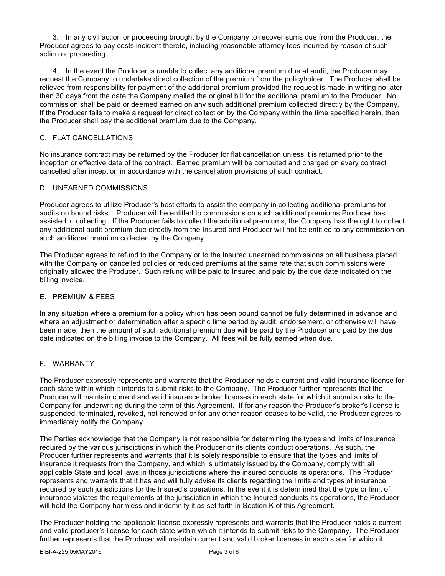3. In any civil action or proceeding brought by the Company to recover sums due from the Producer, the Producer agrees to pay costs incident thereto, including reasonable attorney fees incurred by reason of such action or proceeding.

4. In the event the Producer is unable to collect any additional premium due at audit, the Producer may request the Company to undertake direct collection of the premium from the policyholder. The Producer shall be relieved from responsibility for payment of the additional premium provided the request is made in writing no later than 30 days from the date the Company mailed the original bill for the additional premium to the Producer. No commission shall be paid or deemed earned on any such additional premium collected directly by the Company. If the Producer fails to make a request for direct collection by the Company within the time specified herein, then the Producer shall pay the additional premium due to the Company.

#### C. FLAT CANCELLATIONS

No insurance contract may be returned by the Producer for flat cancellation unless it is returned prior to the inception or effective date of the contract. Earned premium will be computed and charged on every contract cancelled after inception in accordance with the cancellation provisions of such contract.

#### D. UNEARNED COMMISSIONS

Producer agrees to utilize Producer's best efforts to assist the company in collecting additional premiums for audits on bound risks. Producer will be entitled to commissions on such additional premiums Producer has assisted in collecting. If the Producer fails to collect the additional premiums, the Company has the right to collect any additional audit premium due directly from the Insured and Producer will not be entitled to any commission on such additional premium collected by the Company.

The Producer agrees to refund to the Company or to the Insured unearned commissions on all business placed with the Company on cancelled policies or reduced premiums at the same rate that such commissions were originally allowed the Producer. Such refund will be paid to Insured and paid by the due date indicated on the billing invoice.

#### E. PREMIUM & FEES

In any situation where a premium for a policy which has been bound cannot be fully determined in advance and where an adjustment or determination after a specific time period by audit, endorsement, or otherwise will have been made, then the amount of such additional premium due will be paid by the Producer and paid by the due date indicated on the billing invoice to the Company. All fees will be fully earned when due.

#### F. WARRANTY

The Producer expressly represents and warrants that the Producer holds a current and valid insurance license for each state within which it intends to submit risks to the Company. The Producer further represents that the Producer will maintain current and valid insurance broker licenses in each state for which it submits risks to the Company for underwriting during the term of this Agreement. If for any reason the Producer's broker's license is suspended, terminated, revoked, not renewed or for any other reason ceases to be valid, the Producer agrees to immediately notify the Company.

The Parties acknowledge that the Company is not responsible for determining the types and limits of insurance required by the various jurisdictions in which the Producer or its clients conduct operations. As such, the Producer further represents and warrants that it is solely responsible to ensure that the types and limits of insurance it requests from the Company, and which is ultimately issued by the Company, comply with all applicable State and local laws in those jurisdictions where the insured conducts its operations. The Producer represents and warrants that it has and will fully advise its clients regarding the limits and types of insurance required by such jurisdictions for the Insured's operations. In the event it is determined that the type or limit of insurance violates the requirements of the jurisdiction in which the Insured conducts its operations, the Producer will hold the Company harmless and indemnify it as set forth in Section K of this Agreement.

The Producer holding the applicable license expressly represents and warrants that the Producer holds a current and valid producer's license for each state within which it intends to submit risks to the Company. The Producer further represents that the Producer will maintain current and valid broker licenses in each state for which it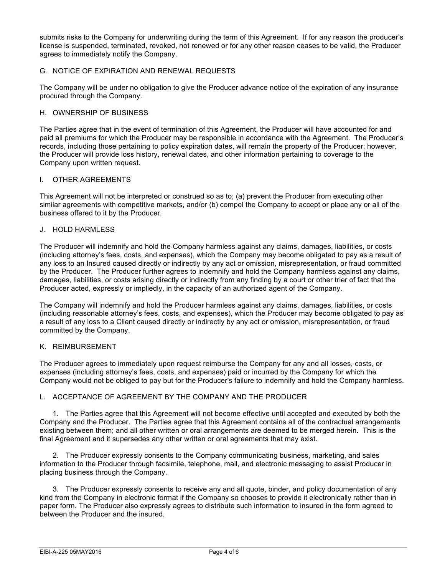submits risks to the Company for underwriting during the term of this Agreement. If for any reason the producer's license is suspended, terminated, revoked, not renewed or for any other reason ceases to be valid, the Producer agrees to immediately notify the Company.

#### G. NOTICE OF EXPIRATION AND RENEWAL REQUESTS

The Company will be under no obligation to give the Producer advance notice of the expiration of any insurance procured through the Company.

#### H. OWNERSHIP OF BUSINESS

The Parties agree that in the event of termination of this Agreement, the Producer will have accounted for and paid all premiums for which the Producer may be responsible in accordance with the Agreement. The Producer's records, including those pertaining to policy expiration dates, will remain the property of the Producer; however, the Producer will provide loss history, renewal dates, and other information pertaining to coverage to the Company upon written request.

#### I. OTHER AGREEMENTS

This Agreement will not be interpreted or construed so as to; (a) prevent the Producer from executing other similar agreements with competitive markets, and/or (b) compel the Company to accept or place any or all of the business offered to it by the Producer.

#### J. HOLD HARMLESS

The Producer will indemnify and hold the Company harmless against any claims, damages, liabilities, or costs (including attorney's fees, costs, and expenses), which the Company may become obligated to pay as a result of any loss to an Insured caused directly or indirectly by any act or omission, misrepresentation, or fraud committed by the Producer. The Producer further agrees to indemnify and hold the Company harmless against any claims, damages, liabilities, or costs arising directly or indirectly from any finding by a court or other trier of fact that the Producer acted, expressly or impliedly, in the capacity of an authorized agent of the Company.

The Company will indemnify and hold the Producer harmless against any claims, damages, liabilities, or costs (including reasonable attorney's fees, costs, and expenses), which the Producer may become obligated to pay as a result of any loss to a Client caused directly or indirectly by any act or omission, misrepresentation, or fraud committed by the Company.

#### K. REIMBURSEMENT

The Producer agrees to immediately upon request reimburse the Company for any and all losses, costs, or expenses (including attorney's fees, costs, and expenses) paid or incurred by the Company for which the Company would not be obliged to pay but for the Producer's failure to indemnify and hold the Company harmless.

#### L. ACCEPTANCE OF AGREEMENT BY THE COMPANY AND THE PRODUCER

1. The Parties agree that this Agreement will not become effective until accepted and executed by both the Company and the Producer. The Parties agree that this Agreement contains all of the contractual arrangements existing between them; and all other written or oral arrangements are deemed to be merged herein. This is the final Agreement and it supersedes any other written or oral agreements that may exist.

2. The Producer expressly consents to the Company communicating business, marketing, and sales information to the Producer through facsimile, telephone, mail, and electronic messaging to assist Producer in placing business through the Company.

3. The Producer expressly consents to receive any and all quote, binder, and policy documentation of any kind from the Company in electronic format if the Company so chooses to provide it electronically rather than in paper form. The Producer also expressly agrees to distribute such information to insured in the form agreed to between the Producer and the insured.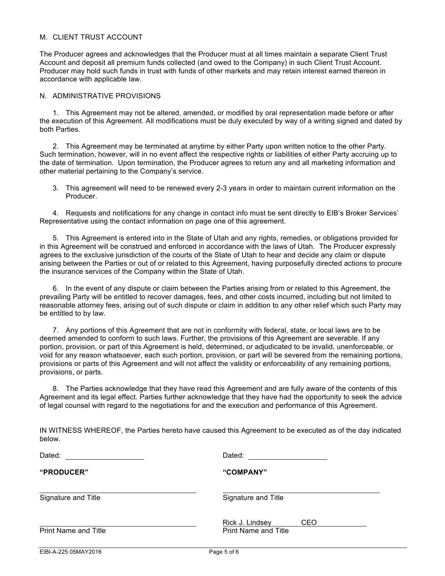#### M. CLIENT TRUST ACCOUNT

The Producer agrees and acknowledges that the Producer must at all times maintain a separate Client Trust Account and deposit all premium funds collected (and owed to the Company) in such Client Trust Account. Producer may hold such funds in trust with funds of other markets and may retain interest earned thereon in accordance with applicable law.

#### N. ADMINISTRATIVE PROVISIONS

1. This Agreement may not be altered, amended, or modified by oral representation made before or after the execution of this Agreement. All modifications must be duly executed by way of a writing signed and dated by both Parties.

2. This Agreement may be terminated at anytime by either Party upon written notice to the other Party. Such termination, however, will in no event affect the respective rights or liabilities of either Party accruing up to the date of termination. Upon termination, the Producer agrees to return any and all marketing information and other material pertaining to the Company's service.

3. This agreement will need to be renewed every 2-3 years in order to maintain current information on the Producer.

4. Requests and notifications for any change in contact info must be sent directly to EIB's Broker Services' Representative using the contact information on page one of this agreement.

5. This Agreement is entered into in the State of Utah and any rights, remedies, or obligations provided for in this Agreement will be construed and enforced in accordance with the laws of Utah. The Producer expressly agrees to the exclusive jurisdiction of the courts of the State of Utah to hear and decide any claim or dispute arising between the Parties or out of or related to this Agreement, having purposefully directed actions to procure the insurance services of the Company within the State of Utah.

6. In the event of any dispute or claim between the Parties arising from or related to this Agreement, the prevailing Party will be entitled to recover damages, fees, and other costs incurred, including but not limited to reasonable attorney fees, arising out of such dispute or claim in addition to any other relief which such Party may be entitled to by law.

7. Any portions of this Agreement that are not in conformity with federal, state, or local laws are to be deemed amended to conform to such laws. Further, the provisions of this Agreement are severable. If any portion, provision, or part of this Agreement is held, determined, or adjudicated to be invalid, unenforceable, or void for any reason whatsoever, each such portion, provision, or part will be severed from the remaining portions, provisions or parts of this Agreement and will not affect the validity or enforceability of any remaining portions, provisions, or parts.

8. The Parties acknowledge that they have read this Agreement and are fully aware of the contents of this Agreement and its legal effect. Parties further acknowledge that they have had the opportunity to seek the advice of legal counsel with regard to the negotiations for and the execution and performance of this Agreement.

|        | IN WITNESS WHEREOF, the Parties hereto have caused this Agreement to be executed as of the day indicated |  |
|--------|----------------------------------------------------------------------------------------------------------|--|
| below. |                                                                                                          |  |

| Dated:                      | Dated:                                                |  |
|-----------------------------|-------------------------------------------------------|--|
| "PRODUCER"                  | "COMPANY"                                             |  |
| Signature and Title         | Signature and Title                                   |  |
| <b>Print Name and Title</b> | Rick J. Lindsey<br>CEO<br><b>Print Name and Title</b> |  |